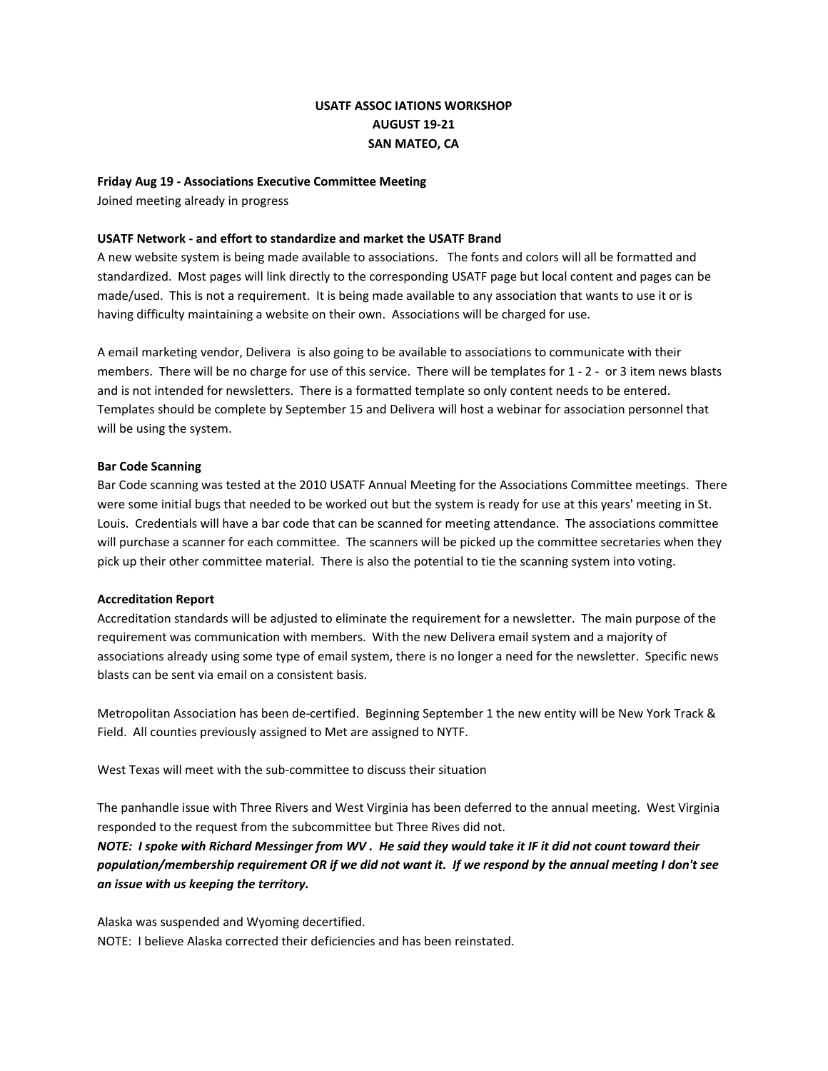# **USATF ASSOC IATIONS WORKSHOP AUGUST 19‐21 SAN MATEO, CA**

#### **Friday Aug 19 ‐ Associations Executive Committee Meeting**

Joined meeting already in progress

#### **USATF Network ‐ and effort to standardize and market the USATF Brand**

A new website system is being made available to associations. The fonts and colors will all be formatted and standardized. Most pages will link directly to the corresponding USATF page but local content and pages can be made/used. This is not a requirement. It is being made available to any association that wants to use it or is having difficulty maintaining a website on their own. Associations will be charged for use.

A email marketing vendor, Delivera is also going to be available to associations to communicate with their members. There will be no charge for use of this service. There will be templates for 1 - 2 - or 3 item news blasts and is not intended for newsletters. There is a formatted template so only content needs to be entered. Templates should be complete by September 15 and Delivera will host a webinar for association personnel that will be using the system.

#### **Bar Code Scanning**

Bar Code scanning was tested at the 2010 USATF Annual Meeting for the Associations Committee meetings. There were some initial bugs that needed to be worked out but the system is ready for use at this years' meeting in St. Louis. Credentials will have a bar code that can be scanned for meeting attendance. The associations committee will purchase a scanner for each committee. The scanners will be picked up the committee secretaries when they pick up their other committee material. There is also the potential to tie the scanning system into voting.

#### **Accreditation Report**

Accreditation standards will be adjusted to eliminate the requirement for a newsletter. The main purpose of the requirement was communication with members. With the new Delivera email system and a majority of associations already using some type of email system, there is no longer a need for the newsletter. Specific news blasts can be sent via email on a consistent basis.

Metropolitan Association has been de‐certified. Beginning September 1 the new entity will be New York Track & Field. All counties previously assigned to Met are assigned to NYTF.

West Texas will meet with the sub‐committee to discuss their situation

The panhandle issue with Three Rivers and West Virginia has been deferred to the annual meeting. West Virginia responded to the request from the subcommittee but Three Rives did not.

NOTE: I spoke with Richard Messinger from WV. He said they would take it IF it did not count toward their population/membership requirement OR if we did not want it. If we respond by the annual meeting I don't see *an issue with us keeping the territory.*

Alaska was suspended and Wyoming decertified. NOTE: I believe Alaska corrected their deficiencies and has been reinstated.